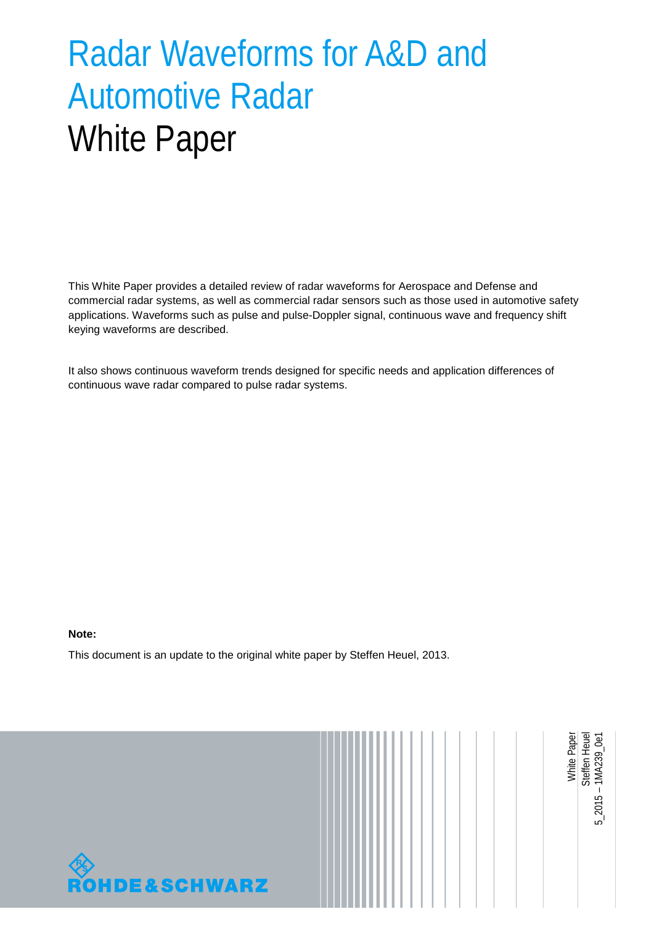# Radar Waveforms for A&D and Automotive Radar White Paper

This White Paper provides a detailed review of radar waveforms for Aerospace and Defense and commercial radar systems, as well as commercial radar sensors such as those used in automotive safety applications. Waveforms such as pulse and pulse-Doppler signal, continuous wave and frequency shift keying waveforms are described.

It also shows continuous waveform trends designed for specific needs and application differences of continuous wave radar compared to pulse radar systems.

#### **Note:**

<span id="page-0-0"></span>This document is an update to the original white paper by Steffen Heuel, 2013.

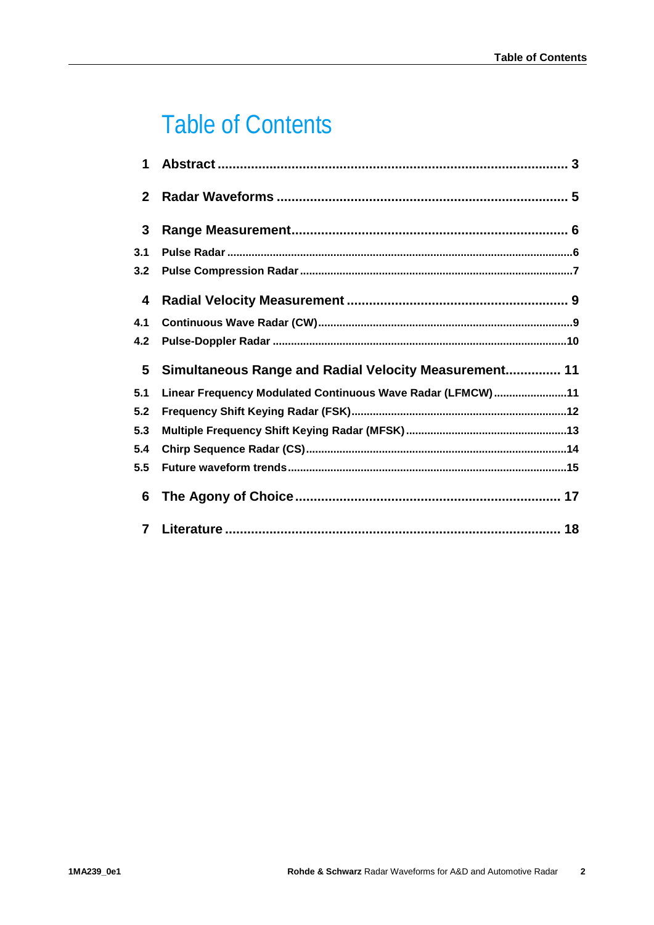## **Table of Contents**

| 1            |                                                            |
|--------------|------------------------------------------------------------|
| $\mathbf{2}$ |                                                            |
| $\mathbf{3}$ |                                                            |
| 3.1          |                                                            |
| 3.2          |                                                            |
| 4            |                                                            |
| 4.1          |                                                            |
| 4.2          |                                                            |
| 5            | Simultaneous Range and Radial Velocity Measurement 11      |
| 5.1          | Linear Frequency Modulated Continuous Wave Radar (LFMCW)11 |
| 5.2          |                                                            |
| 5.3          |                                                            |
| 5.4          |                                                            |
|              |                                                            |
| 5.5          |                                                            |
| 6            |                                                            |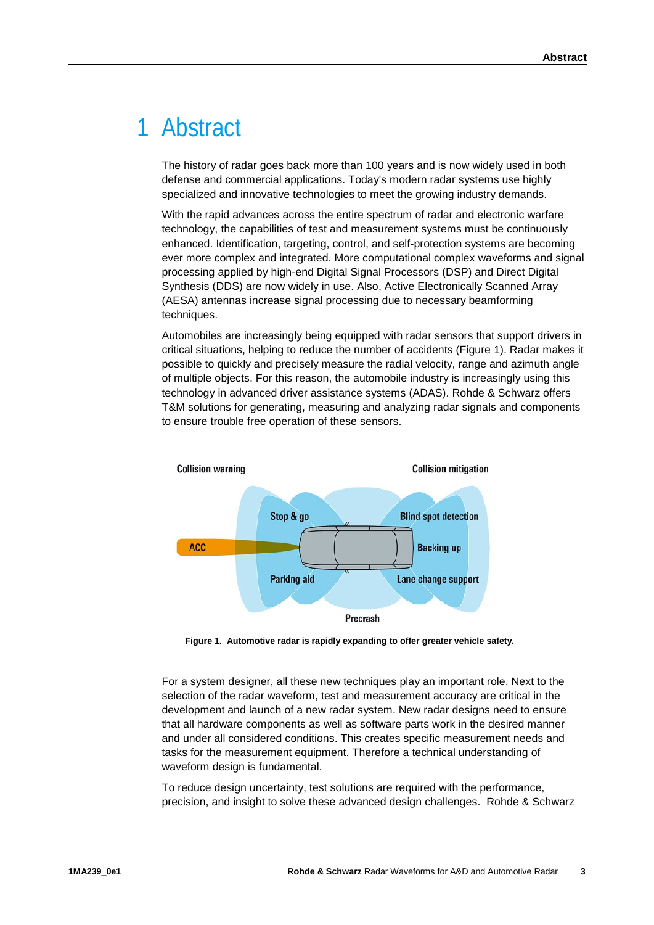### <span id="page-2-0"></span>1 Abstract

The history of radar goes back more than 100 years and is now widely used in both defense and commercial applications. Today's modern radar systems use highly specialized and innovative technologies to meet the growing industry demands.

With the rapid advances across the entire spectrum of radar and electronic warfare technology, the capabilities of test and measurement systems must be continuously enhanced. Identification, targeting, control, and self-protection systems are becoming ever more complex and integrated. More computational complex waveforms and signal processing applied by high-end Digital Signal Processors (DSP) and Direct Digital Synthesis (DDS) are now widely in use. Also, Active Electronically Scanned Array (AESA) antennas increase signal processing due to necessary beamforming techniques.

Automobiles are increasingly being equipped with radar sensors that support drivers in critical situations, helping to reduce the number of accidents (Figure 1). Radar makes it possible to quickly and precisely measure the radial velocity, range and azimuth angle of multiple objects. For this reason, the automobile industry is increasingly using this technology in advanced driver assistance systems (ADAS). Rohde & Schwarz offers T&M solutions for generating, measuring and analyzing radar signals and components to ensure trouble free operation of these sensors.



**Figure 1. Automotive radar is rapidly expanding to offer greater vehicle safety.**

For a system designer, all these new techniques play an important role. Next to the selection of the radar waveform, test and measurement accuracy are critical in the development and launch of a new radar system. New radar designs need to ensure that all hardware components as well as software parts work in the desired manner and under all considered conditions. This creates specific measurement needs and tasks for the measurement equipment. Therefore a technical understanding of waveform design is fundamental.

To reduce design uncertainty, test solutions are required with the performance, precision, and insight to solve these advanced design challenges. Rohde & Schwarz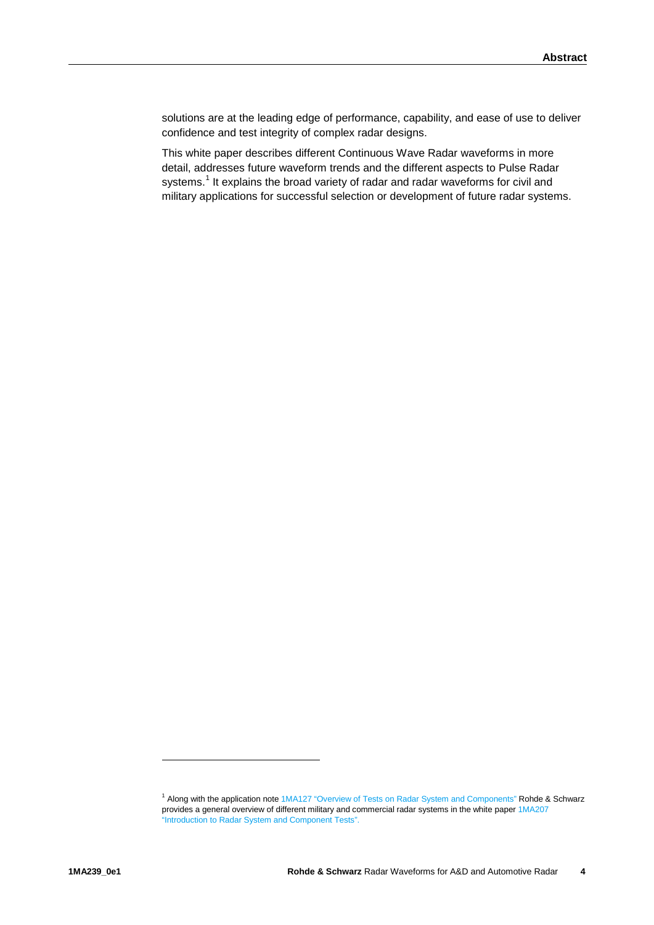solutions are at the leading edge of performance, capability, and ease of use to deliver confidence and test integrity of complex radar designs.

This white paper describes different Continuous Wave Radar waveforms in more detail, addresses future waveform trends and the different aspects to Pulse Radar systems.<sup>[1](#page-3-0)</sup> It explains the broad variety of radar and radar waveforms for civil and military applications for successful selection or development of future radar systems.

-

<span id="page-3-0"></span><sup>1</sup> Along with the application not[e 1MA127 "Overview of Tests on Radar System and Components"](http://www.rohde-schwarz.us/en/applications/overview-of-tests-on-radar-systems-and-components-application-note_56280-15708.html) Rohde & Schwarz provides a general overview of different military and commercial radar systems in the white pape[r 1MA207](http://www.rohde-schwarz.de/de/service_support/downloads/application_notes/?query=1MA207)  ["Introduction to Radar System and Component Tests".](http://www.rohde-schwarz.de/de/service_support/downloads/application_notes/?query=1MA207)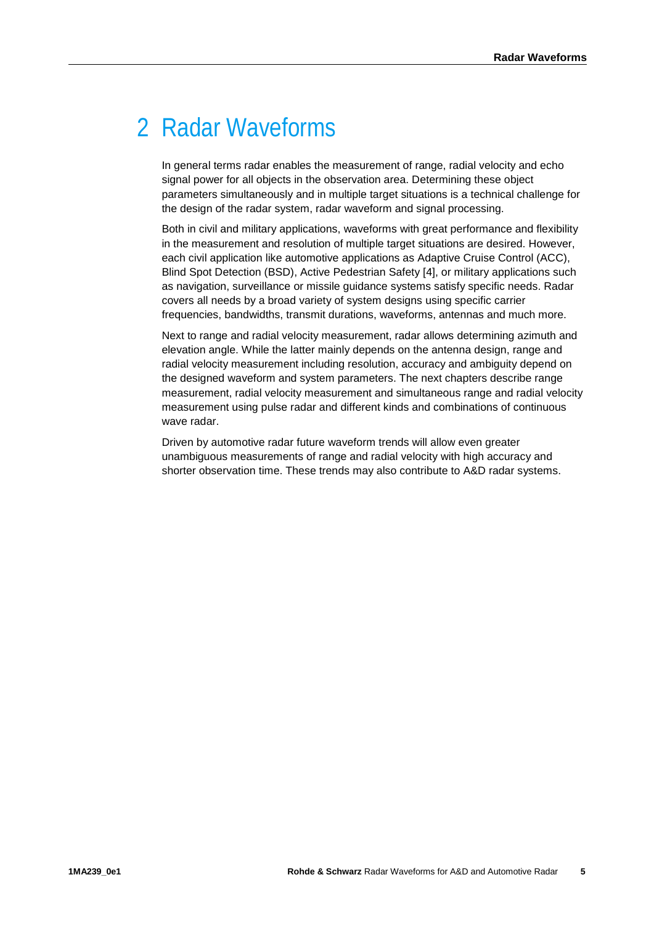## <span id="page-4-0"></span>2 Radar Waveforms

In general terms radar enables the measurement of range, radial velocity and echo signal power for all objects in the observation area. Determining these object parameters simultaneously and in multiple target situations is a technical challenge for the design of the radar system, radar waveform and signal processing.

Both in civil and military applications, waveforms with great performance and flexibility in the measurement and resolution of multiple target situations are desired. However, each civil application like automotive applications as Adaptive Cruise Control (ACC), Blind Spot Detection (BSD), Active Pedestrian Safety [4], or military applications such as navigation, surveillance or missile guidance systems satisfy specific needs. Radar covers all needs by a broad variety of system designs using specific carrier frequencies, bandwidths, transmit durations, waveforms, antennas and much more.

Next to range and radial velocity measurement, radar allows determining azimuth and elevation angle. While the latter mainly depends on the antenna design, range and radial velocity measurement including resolution, accuracy and ambiguity depend on the designed waveform and system parameters. The next chapters describe range measurement, radial velocity measurement and simultaneous range and radial velocity measurement using pulse radar and different kinds and combinations of continuous wave radar.

Driven by automotive radar future waveform trends will allow even greater unambiguous measurements of range and radial velocity with high accuracy and shorter observation time. These trends may also contribute to A&D radar systems.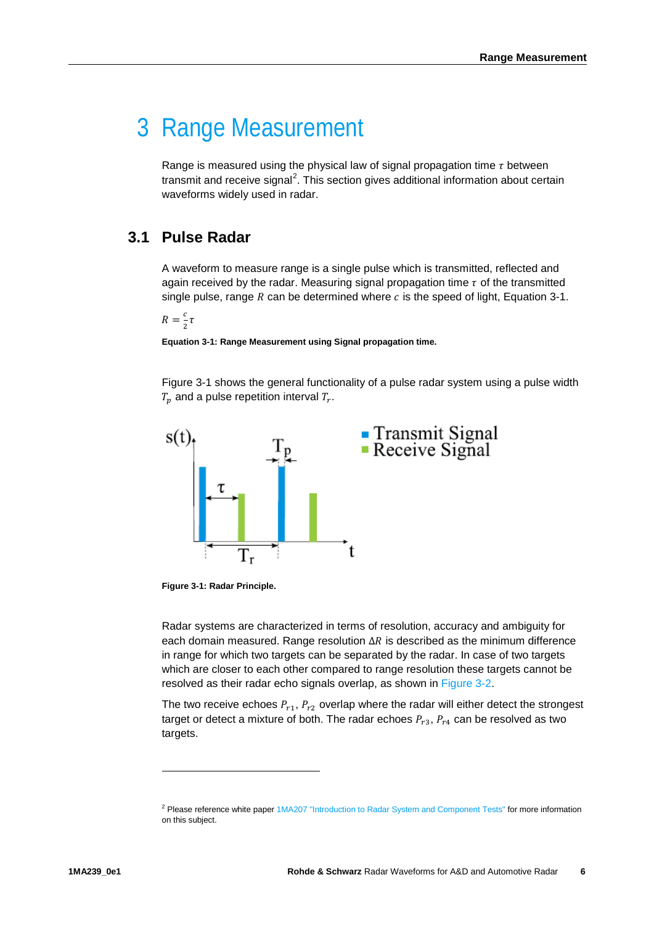### <span id="page-5-0"></span>3 Range Measurement

Range is measured using the physical law of signal propagation time  $\tau$  between transmit and receive signal<sup>[2](#page-5-3)</sup>. This section gives additional information about certain waveforms widely used in radar.

#### <span id="page-5-1"></span>**3.1 Pulse Radar**

A waveform to measure range is a single pulse which is transmitted, reflected and again received by the radar. Measuring signal propagation time  $\tau$  of the transmitted single pulse, range  $R$  can be determined where  $c$  is the speed of light, [Equation 3-1.](#page-5-2)

 $R = \frac{c}{2}\tau$ 

<span id="page-5-2"></span>**Equation 3-1: Range Measurement using Signal propagation time.**

Figure 3-1 shows the general functionality of a pulse radar system using a pulse width  $T_n$  and a pulse repetition interval  $T_r$ .



**Figure 3-1: Radar Principle.**

Radar systems are characterized in terms of resolution, accuracy and ambiguity for each domain measured. Range resolution  $\Delta R$  is described as the minimum difference in range for which two targets can be separated by the radar. In case of two targets which are closer to each other compared to range resolution these targets cannot be resolved as their radar echo signals overlap, as shown in [Figure 3-2.](#page-6-1)

The two receive echoes  $P_{r1}$ ,  $P_{r2}$  overlap where the radar will either detect the strongest target or detect a mixture of both. The radar echoes  $P_{r3}$ ,  $P_{r4}$  can be resolved as two targets.

-

<span id="page-5-3"></span><sup>2</sup> Please reference white paper [1MA207 "Introduction to Radar System and Component Tests"](http://www.rohde-schwarz.de/de/service_support/downloads/application_notes/?query=1MA207) for more information on this subject.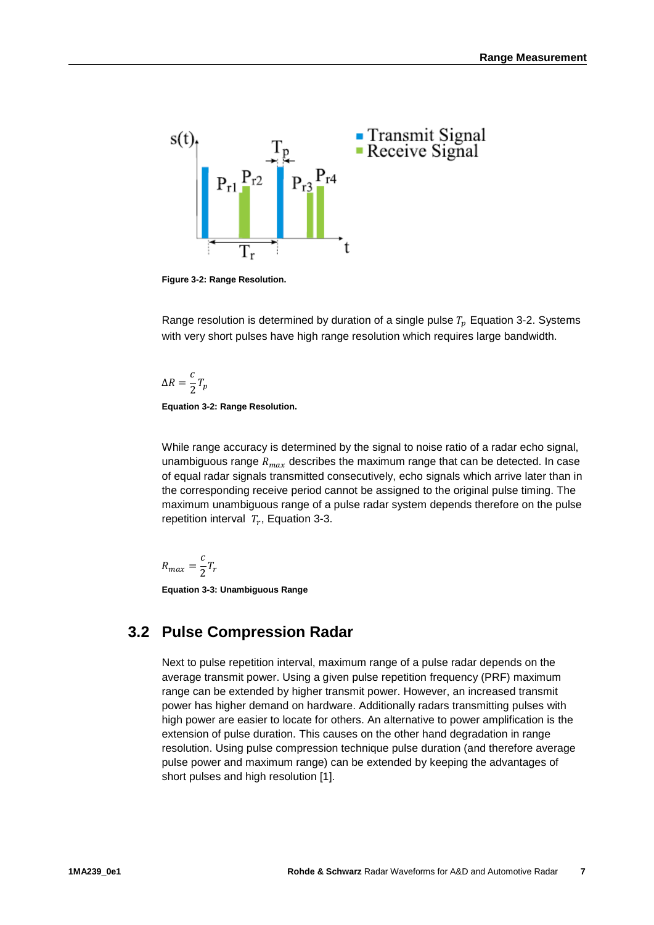

<span id="page-6-1"></span>**Figure 3-2: Range Resolution.**

Range resolution is determined by duration of a single pulse  $T_p$  [Equation 3-2.](#page-6-2) Systems with very short pulses have high range resolution which requires large bandwidth.

$$
\Delta R = \frac{c}{2} T_p
$$

<span id="page-6-2"></span>**Equation 3-2: Range Resolution.**

While range accuracy is determined by the signal to noise ratio of a radar echo signal, unambiguous range  $R_{max}$  describes the maximum range that can be detected. In case of equal radar signals transmitted consecutively, echo signals which arrive later than in the corresponding receive period cannot be assigned to the original pulse timing. The maximum unambiguous range of a pulse radar system depends therefore on the pulse repetition interval  $T_r$ , [Equation 3-3.](#page-6-3)

$$
R_{max} = \frac{c}{2}T_r
$$

<span id="page-6-3"></span><span id="page-6-0"></span>**Equation 3-3: Unambiguous Range**

### **3.2 Pulse Compression Radar**

Next to pulse repetition interval, maximum range of a pulse radar depends on the average transmit power. Using a given pulse repetition frequency (PRF) maximum range can be extended by higher transmit power. However, an increased transmit power has higher demand on hardware. Additionally radars transmitting pulses with high power are easier to locate for others. An alternative to power amplification is the extension of pulse duration. This causes on the other hand degradation in range resolution. Using pulse compression technique pulse duration (and therefore average pulse power and maximum range) can be extended by keeping the advantages of short pulses and high resolution [1].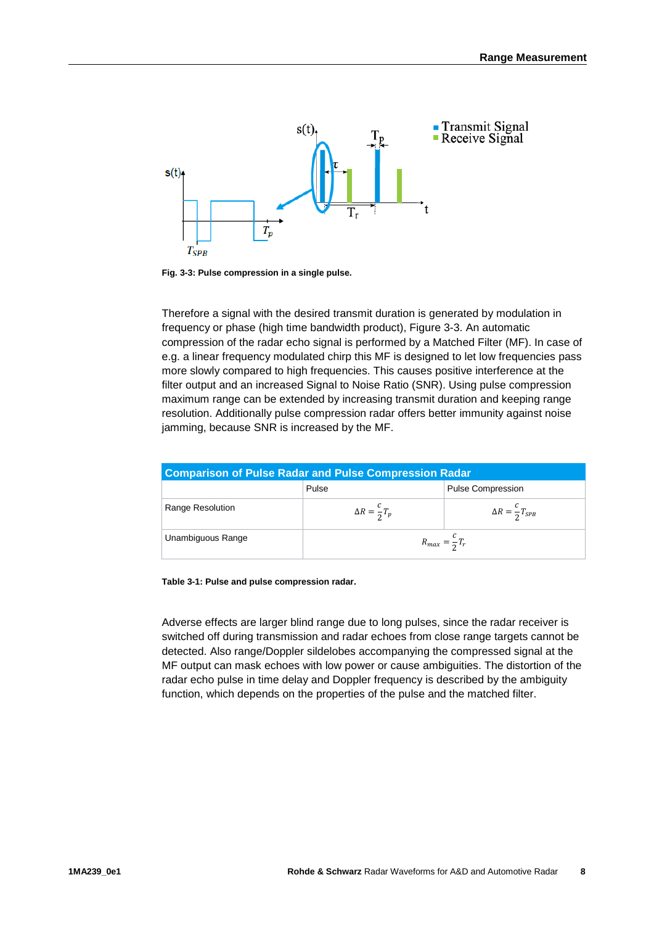

**Fig. 3-3: Pulse compression in a single pulse.**

Therefore a signal with the desired transmit duration is generated by modulation in frequency or phase (high time bandwidth product), Figure 3-3. An automatic compression of the radar echo signal is performed by a Matched Filter (MF). In case of e.g. a linear frequency modulated chirp this MF is designed to let low frequencies pass more slowly compared to high frequencies. This causes positive interference at the filter output and an increased Signal to Noise Ratio (SNR). Using pulse compression maximum range can be extended by increasing transmit duration and keeping range resolution. Additionally pulse compression radar offers better immunity against noise jamming, because SNR is increased by the MF.

| <b>Comparison of Pulse Radar and Pulse Compression Radar</b> |                              |                                  |  |  |
|--------------------------------------------------------------|------------------------------|----------------------------------|--|--|
|                                                              | Pulse                        | <b>Pulse Compression</b>         |  |  |
| Range Resolution                                             | $\Delta R = \frac{c}{2} T_p$ | $\Delta R = \frac{c}{2} T_{SPB}$ |  |  |
| Unambiguous Range                                            | $R_{max} = \frac{c}{2}T_r$   |                                  |  |  |

**Table 3-1: Pulse and pulse compression radar.**

Adverse effects are larger blind range due to long pulses, since the radar receiver is switched off during transmission and radar echoes from close range targets cannot be detected. Also range/Doppler sildelobes accompanying the compressed signal at the MF output can mask echoes with low power or cause ambiguities. The distortion of the radar echo pulse in time delay and Doppler frequency is described by the ambiguity function, which depends on the properties of the pulse and the matched filter.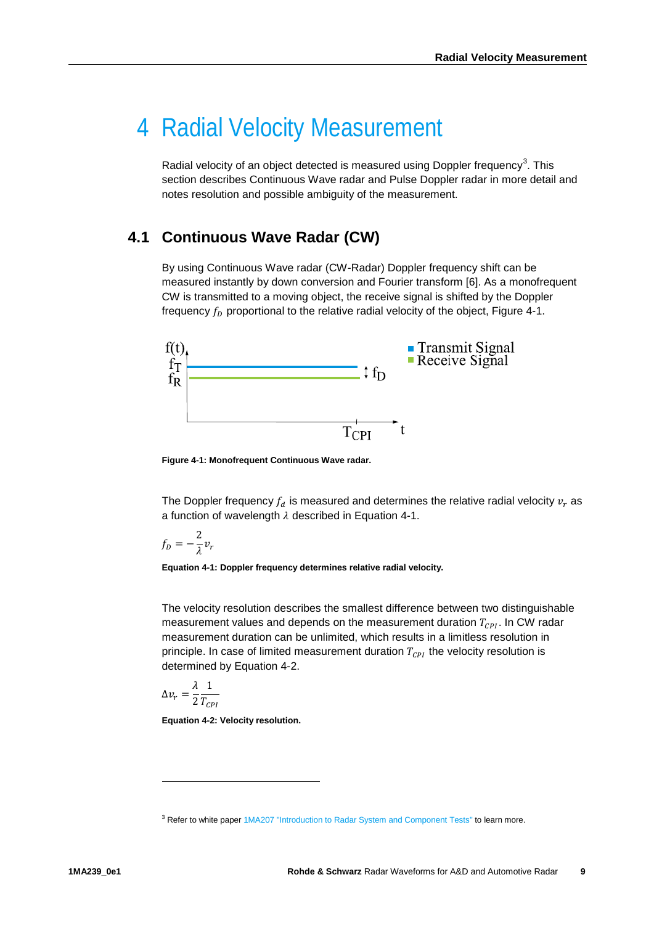### <span id="page-8-0"></span>4 Radial Velocity Measurement

Radial velocity of an object detected is measured using Doppler frequency<sup>[3](#page-8-2)</sup>. This section describes Continuous Wave radar and Pulse Doppler radar in more detail and notes resolution and possible ambiguity of the measurement.

### <span id="page-8-1"></span>**4.1 Continuous Wave Radar (CW)**

By using Continuous Wave radar (CW-Radar) Doppler frequency shift can be measured instantly by down conversion and Fourier transform [6]. As a monofrequent CW is transmitted to a moving object, the receive signal is shifted by the Doppler frequency  $f<sub>p</sub>$  proportional to the relative radial velocity of the object, Figure 4-1.



**Figure 4-1: Monofrequent Continuous Wave radar.**

The Doppler frequency  $f_d$  is measured and determines the relative radial velocity  $v_r$  as a function of wavelength  $\lambda$  described in Equation 4-1.

$$
f_D=-\frac{2}{\lambda}v_r
$$

**Equation 4-1: Doppler frequency determines relative radial velocity.**

The velocity resolution describes the smallest difference between two distinguishable measurement values and depends on the measurement duration  $T_{\text{CPI}}$ . In CW radar measurement duration can be unlimited, which results in a limitless resolution in principle. In case of limited measurement duration  $T_{\text{CPI}}$  the velocity resolution is determined by Equation 4-2.

$$
\Delta v_r = \frac{\lambda}{2} \frac{1}{T_{CPI}}
$$

-

<span id="page-8-3"></span>**Equation 4-2: Velocity resolution.**

<span id="page-8-2"></span><sup>&</sup>lt;sup>3</sup> Refer to white paper [1MA207 "Introduction to Radar System and Component Tests"](http://www.rohde-schwarz.de/de/service_support/downloads/application_notes/?query=1MA207) to learn more.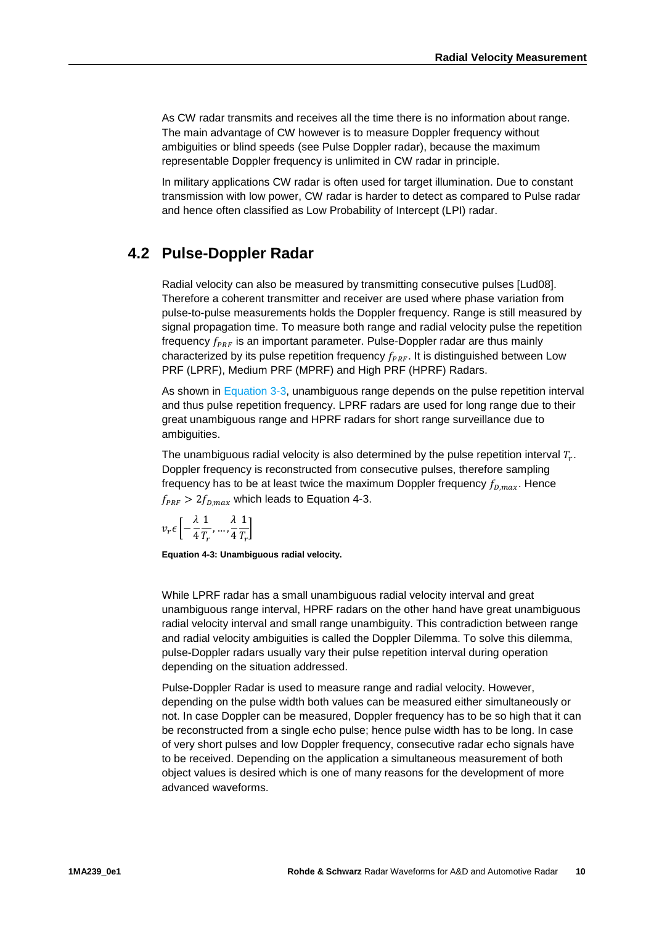As CW radar transmits and receives all the time there is no information about range. The main advantage of CW however is to measure Doppler frequency without ambiguities or blind speeds (see Pulse Doppler radar), because the maximum representable Doppler frequency is unlimited in CW radar in principle.

In military applications CW radar is often used for target illumination. Due to constant transmission with low power, CW radar is harder to detect as compared to Pulse radar and hence often classified as Low Probability of Intercept (LPI) radar.

#### <span id="page-9-0"></span>**4.2 Pulse-Doppler Radar**

Radial velocity can also be measured by transmitting consecutive pulses [Lud08]. Therefore a coherent transmitter and receiver are used where phase variation from pulse-to-pulse measurements holds the Doppler frequency. Range is still measured by signal propagation time. To measure both range and radial velocity pulse the repetition frequency  $f_{\text{PRF}}$  is an important parameter. Pulse-Doppler radar are thus mainly characterized by its pulse repetition frequency  $f_{PRF}$ . It is distinguished between Low PRF (LPRF), Medium PRF (MPRF) and High PRF (HPRF) Radars.

As shown in [Equation 3-3,](#page-6-3) unambiguous range depends on the pulse repetition interval and thus pulse repetition frequency. LPRF radars are used for long range due to their great unambiguous range and HPRF radars for short range surveillance due to ambiguities.

The unambiguous radial velocity is also determined by the pulse repetition interval  $T<sub>r</sub>$ . Doppler frequency is reconstructed from consecutive pulses, therefore sampling frequency has to be at least twice the maximum Doppler frequency  $f_{D,max}$ . Hence  $f_{PRF} > 2f_{Dmax}$  which leads to Equation 4-3.

$$
v_r \epsilon \left[ -\frac{\lambda}{4} \frac{1}{T_r}, \dots, \frac{\lambda}{4} \frac{1}{T_r} \right]
$$

<span id="page-9-1"></span>**Equation 4-3: Unambiguous radial velocity.**

While LPRF radar has a small unambiguous radial velocity interval and great unambiguous range interval, HPRF radars on the other hand have great unambiguous radial velocity interval and small range unambiguity. This contradiction between range and radial velocity ambiguities is called the Doppler Dilemma. To solve this dilemma, pulse-Doppler radars usually vary their pulse repetition interval during operation depending on the situation addressed.

Pulse-Doppler Radar is used to measure range and radial velocity. However, depending on the pulse width both values can be measured either simultaneously or not. In case Doppler can be measured, Doppler frequency has to be so high that it can be reconstructed from a single echo pulse; hence pulse width has to be long. In case of very short pulses and low Doppler frequency, consecutive radar echo signals have to be received. Depending on the application a simultaneous measurement of both object values is desired which is one of many reasons for the development of more advanced waveforms.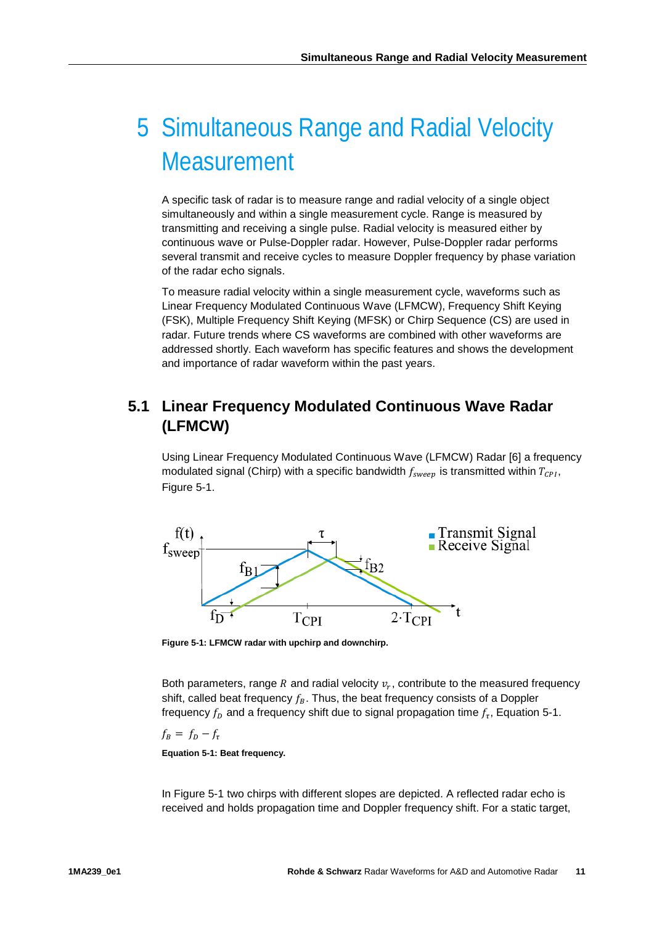## <span id="page-10-0"></span>5 Simultaneous Range and Radial Velocity **Measurement**

A specific task of radar is to measure range and radial velocity of a single object simultaneously and within a single measurement cycle. Range is measured by transmitting and receiving a single pulse. Radial velocity is measured either by continuous wave or Pulse-Doppler radar. However, Pulse-Doppler radar performs several transmit and receive cycles to measure Doppler frequency by phase variation of the radar echo signals.

To measure radial velocity within a single measurement cycle, waveforms such as Linear Frequency Modulated Continuous Wave (LFMCW), Frequency Shift Keying (FSK), Multiple Frequency Shift Keying (MFSK) or Chirp Sequence (CS) are used in radar. Future trends where CS waveforms are combined with other waveforms are addressed shortly. Each waveform has specific features and shows the development and importance of radar waveform within the past years.

### <span id="page-10-1"></span>**5.1 Linear Frequency Modulated Continuous Wave Radar (LFMCW)**

Using Linear Frequency Modulated Continuous Wave (LFMCW) Radar [6] a frequency modulated signal (Chirp) with a specific bandwidth  $f_{\text{sweep}}$  is transmitted within  $T_{CPI}$ , Figure 5-1.



<span id="page-10-2"></span>**Figure 5-1: LFMCW radar with upchirp and downchirp.**

Both parameters, range R and radial velocity  $v_r$ , contribute to the measured frequency shift, called beat frequency  $f_B$ . Thus, the beat frequency consists of a Doppler frequency  $f<sub>D</sub>$  and a frequency shift due to signal propagation time  $f<sub>r</sub>$ , Equation 5-1.

 $f_B = f_D - f_{\tau}$ 

<span id="page-10-3"></span>**Equation 5-1: Beat frequency.**

In Figure 5-1 two chirps with different slopes are depicted. A reflected radar echo is received and holds propagation time and Doppler frequency shift. For a static target,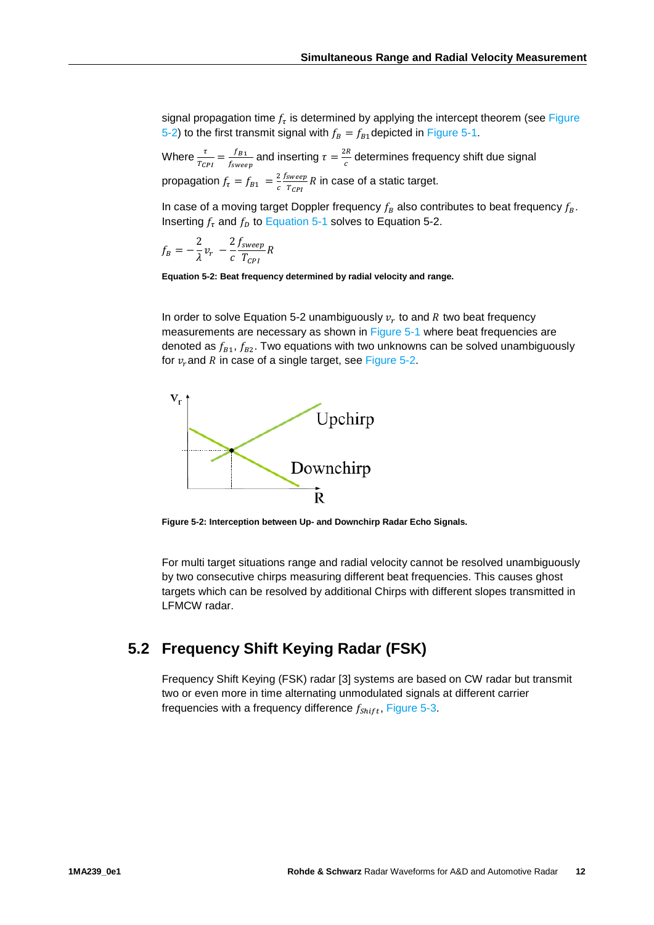signal propagation time  $f_{\tau}$  is determined by applying the intercept theorem (see Figure [5-2\)](#page-11-1) to the first transmit signal with  $f_B = f_{B1}$ depicted in [Figure 5-1.](#page-10-2)

Where  $\frac{\tau}{T_{CPI}} = \frac{f_{B1}}{f_{sweep}}$  and inserting  $\tau = \frac{2R}{c}$  determines frequency shift due signal propagation  $f_{\tau} = f_{B1} = \frac{2}{c}$ <u>*fsweep*</u>  $\frac{sweep}{r_{CPI}}$   $R$  in case of a static target.

In case of a moving target Doppler frequency  $f_B$  also contributes to beat frequency  $f_B$ . Inserting  $f_{\tau}$  and  $f_{D}$  to [Equation 5-1](#page-10-3) solves to Equation 5-2.

$$
f_B = -\frac{2}{\lambda}v_r - \frac{2}{c}\frac{f_{sweep}}{T_{CPI}}R
$$

<span id="page-11-2"></span>**Equation 5-2: Beat frequency determined by radial velocity and range.**

In order to solve Equation 5-2 unambiguously  $v_r$  to and R two beat frequency measurements are necessary as shown in [Figure 5-1](#page-10-2) where beat frequencies are denoted as  $f_{B1}$ ,  $f_{B2}$ . Two equations with two unknowns can be solved unambiguously for  $v_r$  and R in case of a single target, see [Figure 5-2.](#page-11-1)



<span id="page-11-1"></span>**Figure 5-2: Interception between Up- and Downchirp Radar Echo Signals.**

For multi target situations range and radial velocity cannot be resolved unambiguously by two consecutive chirps measuring different beat frequencies. This causes ghost targets which can be resolved by additional Chirps with different slopes transmitted in LFMCW radar.

#### <span id="page-11-0"></span>**5.2 Frequency Shift Keying Radar (FSK)**

Frequency Shift Keying (FSK) radar [3] systems are based on CW radar but transmit two or even more in time alternating unmodulated signals at different carrier frequencies with a frequency difference  $f_{\text{shift}}$ , [Figure 5-3.](#page-12-1)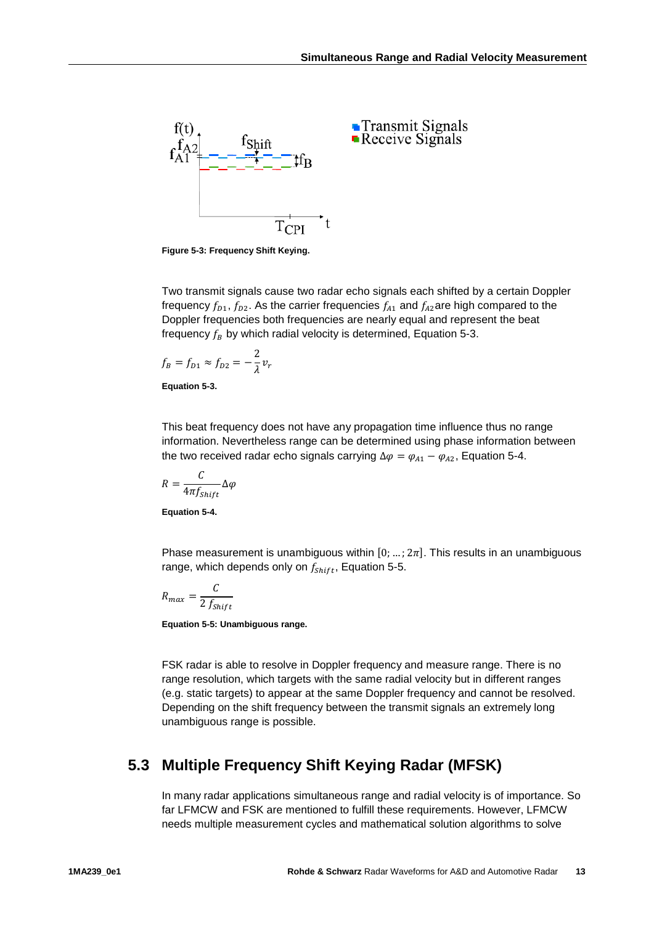

<span id="page-12-1"></span>**Figure 5-3: Frequency Shift Keying.**

Two transmit signals cause two radar echo signals each shifted by a certain Doppler frequency  $f_{D1}$ ,  $f_{D2}$ . As the carrier frequencies  $f_{A1}$  and  $f_{A2}$ are high compared to the Doppler frequencies both frequencies are nearly equal and represent the beat frequency  $f_B$  by which radial velocity is determined, Equation 5-3.

$$
f_B = f_{D1} \approx f_{D2} = -\frac{2}{\lambda} v_r
$$

**Equation 5-3.**

This beat frequency does not have any propagation time influence thus no range information. Nevertheless range can be determined using phase information between the two received radar echo signals carrying  $\Delta \varphi = \varphi_{A1} - \varphi_{A2}$ , Equation 5-4.

$$
R = \frac{C}{4\pi f_{Shift}} \Delta \varphi
$$

**Equation 5-4.**

Phase measurement is unambiguous within  $[0; ...; 2\pi]$ . This results in an unambiguous range, which depends only on  $f_{Shift}$ , Equation 5-5.

$$
R_{max} = \frac{C}{2 f_{Shift}}
$$

**Equation 5-5: Unambiguous range.**

FSK radar is able to resolve in Doppler frequency and measure range. There is no range resolution, which targets with the same radial velocity but in different ranges (e.g. static targets) to appear at the same Doppler frequency and cannot be resolved. Depending on the shift frequency between the transmit signals an extremely long unambiguous range is possible.

### <span id="page-12-0"></span>**5.3 Multiple Frequency Shift Keying Radar (MFSK)**

In many radar applications simultaneous range and radial velocity is of importance. So far LFMCW and FSK are mentioned to fulfill these requirements. However, LFMCW needs multiple measurement cycles and mathematical solution algorithms to solve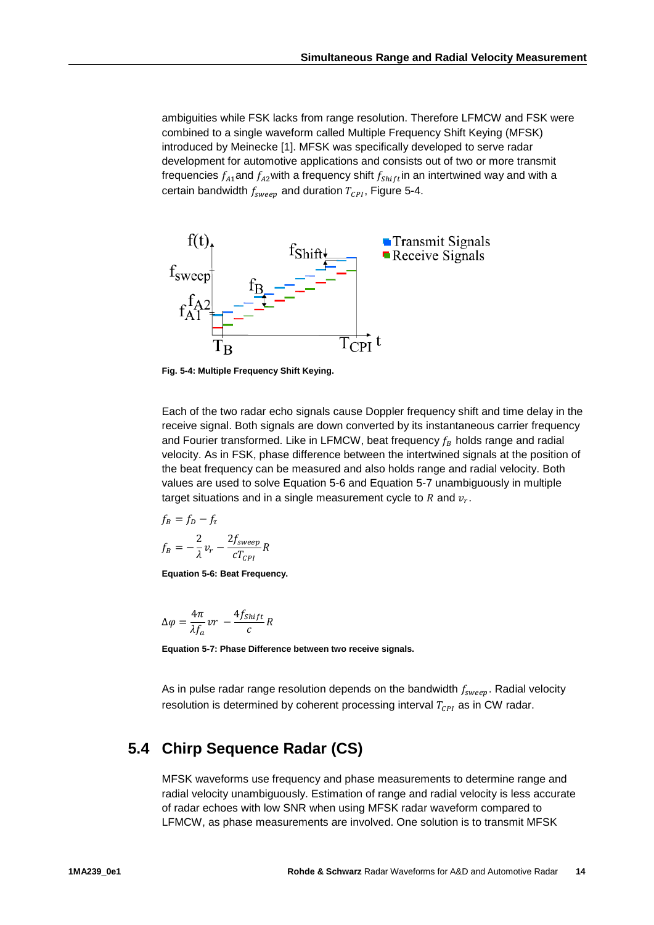ambiguities while FSK lacks from range resolution. Therefore LFMCW and FSK were combined to a single waveform called Multiple Frequency Shift Keying (MFSK) introduced by Meinecke [1]. MFSK was specifically developed to serve radar development for automotive applications and consists out of two or more transmit frequencies  $f_{A1}$  and  $f_{A2}$  with a frequency shift  $f_{Shift}$  in an intertwined way and with a certain bandwidth  $f_{\text{sweep}}$  and duration  $T_{\text{CPI}}$ , Figure 5-4.



**Fig. 5-4: Multiple Frequency Shift Keying.**

Each of the two radar echo signals cause Doppler frequency shift and time delay in the receive signal. Both signals are down converted by its instantaneous carrier frequency and Fourier transformed. Like in LFMCW, beat frequency  $f_R$  holds range and radial velocity. As in FSK, phase difference between the intertwined signals at the position of the beat frequency can be measured and also holds range and radial velocity. Both values are used to solve Equation 5-6 and Equation 5-7 unambiguously in multiple target situations and in a single measurement cycle to  $R$  and  $v_r$ .

$$
f_B = f_D - f_{\tau}
$$
  

$$
f_B = -\frac{2}{\lambda} v_r - \frac{2f_{sweep}}{cT_{CPI}} R
$$

**Equation 5-6: Beat Frequency.**

$$
\Delta \varphi = \frac{4\pi}{\lambda f_a} v r - \frac{4f_{Shift}}{c} R
$$

**Equation 5-7: Phase Difference between two receive signals.**

<span id="page-13-0"></span>As in pulse radar range resolution depends on the bandwidth  $f_{\text{sween}}$ . Radial velocity resolution is determined by coherent processing interval  $T_{\text{CPI}}$  as in CW radar.

### **5.4 Chirp Sequence Radar (CS)**

MFSK waveforms use frequency and phase measurements to determine range and radial velocity unambiguously. Estimation of range and radial velocity is less accurate of radar echoes with low SNR when using MFSK radar waveform compared to LFMCW, as phase measurements are involved. One solution is to transmit MFSK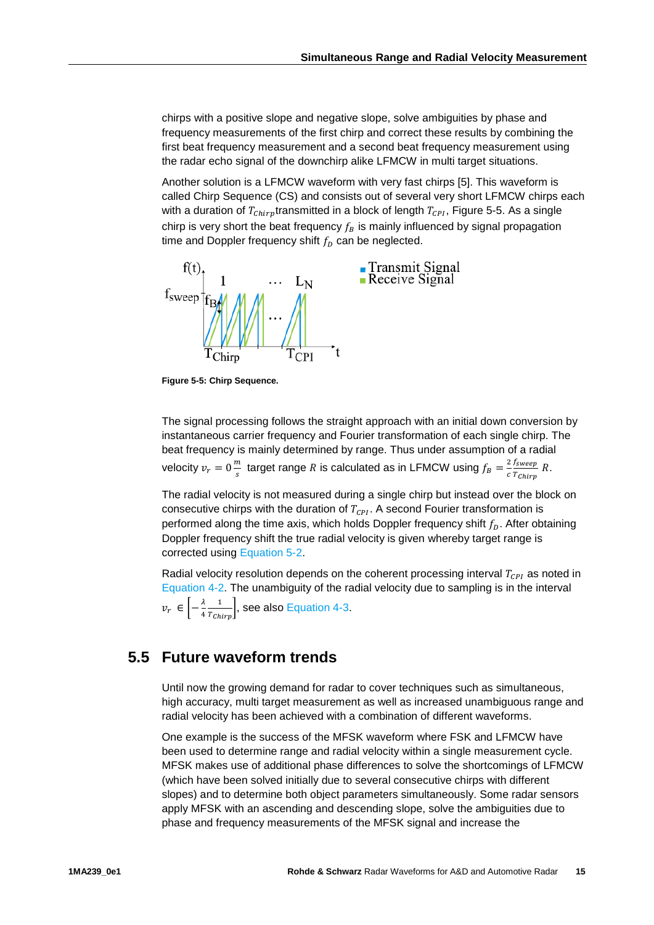chirps with a positive slope and negative slope, solve ambiguities by phase and frequency measurements of the first chirp and correct these results by combining the first beat frequency measurement and a second beat frequency measurement using the radar echo signal of the downchirp alike LFMCW in multi target situations.

Another solution is a LFMCW waveform with very fast chirps [5]. This waveform is called Chirp Sequence (CS) and consists out of several very short LFMCW chirps each with a duration of  $T_{chirp}$ transmitted in a block of length  $T_{cPI}$ , Figure 5-5. As a single chirp is very short the beat frequency  $f_B$  is mainly influenced by signal propagation time and Doppler frequency shift  $f<sub>D</sub>$  can be neglected.



**Figure 5-5: Chirp Sequence.**

The signal processing follows the straight approach with an initial down conversion by instantaneous carrier frequency and Fourier transformation of each single chirp. The beat frequency is mainly determined by range. Thus under assumption of a radial velocity  $v_r = 0 \frac{m}{s}$  target range R is calculated as in LFMCW using  $f_B = \frac{2}{c}$ <u>*Jsweep*</u>  $\frac{f_s w e e p}{T_{Chirp}} R$ .

The radial velocity is not measured during a single chirp but instead over the block on consecutive chirps with the duration of  $T_{CPI}$ . A second Fourier transformation is performed along the time axis, which holds Doppler frequency shift  $f<sub>D</sub>$ . After obtaining Doppler frequency shift the true radial velocity is given whereby target range is corrected using [Equation 5-2.](#page-11-2)

Radial velocity resolution depends on the coherent processing interval  $T_{CPI}$  as noted in [Equation 4-2.](#page-8-3) The unambiguity of the radial velocity due to sampling is in the interval  $v_r \in \left[-\frac{\lambda}{4}\right]$  $\frac{1}{T_{Chirp}}$ , see also [Equation 4-3.](#page-9-1)

#### <span id="page-14-0"></span>**5.5 Future waveform trends**

Until now the growing demand for radar to cover techniques such as simultaneous, high accuracy, multi target measurement as well as increased unambiguous range and radial velocity has been achieved with a combination of different waveforms.

One example is the success of the MFSK waveform where FSK and LFMCW have been used to determine range and radial velocity within a single measurement cycle. MFSK makes use of additional phase differences to solve the shortcomings of LFMCW (which have been solved initially due to several consecutive chirps with different slopes) and to determine both object parameters simultaneously. Some radar sensors apply MFSK with an ascending and descending slope, solve the ambiguities due to phase and frequency measurements of the MFSK signal and increase the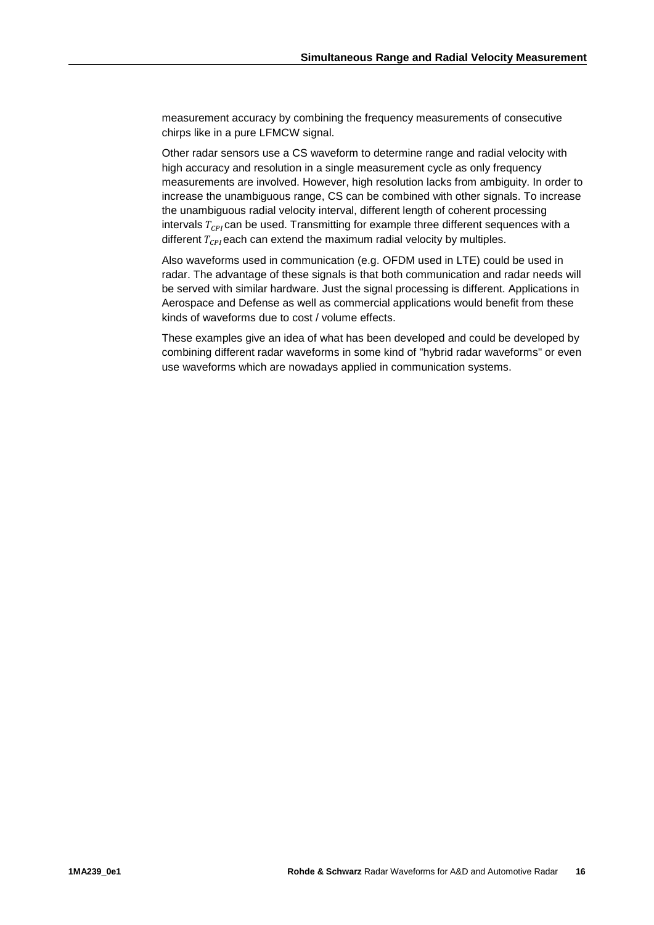measurement accuracy by combining the frequency measurements of consecutive chirps like in a pure LFMCW signal.

Other radar sensors use a CS waveform to determine range and radial velocity with high accuracy and resolution in a single measurement cycle as only frequency measurements are involved. However, high resolution lacks from ambiguity. In order to increase the unambiguous range, CS can be combined with other signals. To increase the unambiguous radial velocity interval, different length of coherent processing intervals  $T_{CPI}$  can be used. Transmitting for example three different sequences with a different  $T_{\text{CPI}}$  each can extend the maximum radial velocity by multiples.

Also waveforms used in communication (e.g. OFDM used in LTE) could be used in radar. The advantage of these signals is that both communication and radar needs will be served with similar hardware. Just the signal processing is different. Applications in Aerospace and Defense as well as commercial applications would benefit from these kinds of waveforms due to cost / volume effects.

These examples give an idea of what has been developed and could be developed by combining different radar waveforms in some kind of "hybrid radar waveforms" or even use waveforms which are nowadays applied in communication systems.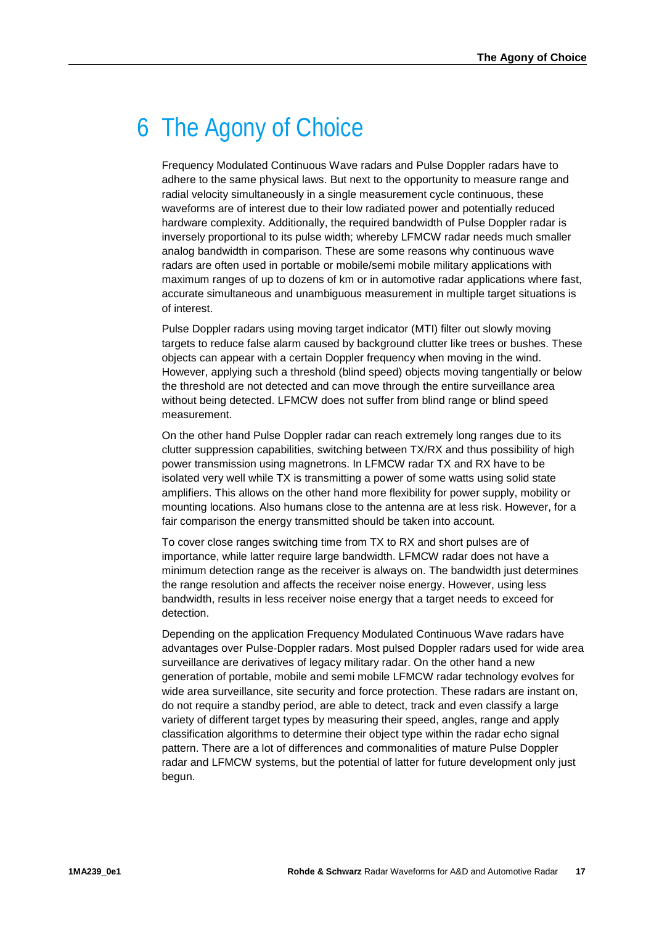## <span id="page-16-0"></span>6 The Agony of Choice

Frequency Modulated Continuous Wave radars and Pulse Doppler radars have to adhere to the same physical laws. But next to the opportunity to measure range and radial velocity simultaneously in a single measurement cycle continuous, these waveforms are of interest due to their low radiated power and potentially reduced hardware complexity. Additionally, the required bandwidth of Pulse Doppler radar is inversely proportional to its pulse width; whereby LFMCW radar needs much smaller analog bandwidth in comparison. These are some reasons why continuous wave radars are often used in portable or mobile/semi mobile military applications with maximum ranges of up to dozens of km or in automotive radar applications where fast, accurate simultaneous and unambiguous measurement in multiple target situations is of interest.

Pulse Doppler radars using moving target indicator (MTI) filter out slowly moving targets to reduce false alarm caused by background clutter like trees or bushes. These objects can appear with a certain Doppler frequency when moving in the wind. However, applying such a threshold (blind speed) objects moving tangentially or below the threshold are not detected and can move through the entire surveillance area without being detected. LFMCW does not suffer from blind range or blind speed measurement.

On the other hand Pulse Doppler radar can reach extremely long ranges due to its clutter suppression capabilities, switching between TX/RX and thus possibility of high power transmission using magnetrons. In LFMCW radar TX and RX have to be isolated very well while TX is transmitting a power of some watts using solid state amplifiers. This allows on the other hand more flexibility for power supply, mobility or mounting locations. Also humans close to the antenna are at less risk. However, for a fair comparison the energy transmitted should be taken into account.

To cover close ranges switching time from TX to RX and short pulses are of importance, while latter require large bandwidth. LFMCW radar does not have a minimum detection range as the receiver is always on. The bandwidth just determines the range resolution and affects the receiver noise energy. However, using less bandwidth, results in less receiver noise energy that a target needs to exceed for detection.

Depending on the application Frequency Modulated Continuous Wave radars have advantages over Pulse-Doppler radars. Most pulsed Doppler radars used for wide area surveillance are derivatives of legacy military radar. On the other hand a new generation of portable, mobile and semi mobile LFMCW radar technology evolves for wide area surveillance, site security and force protection. These radars are instant on, do not require a standby period, are able to detect, track and even classify a large variety of different target types by measuring their speed, angles, range and apply classification algorithms to determine their object type within the radar echo signal pattern. There are a lot of differences and commonalities of mature Pulse Doppler radar and LFMCW systems, but the potential of latter for future development only just begun.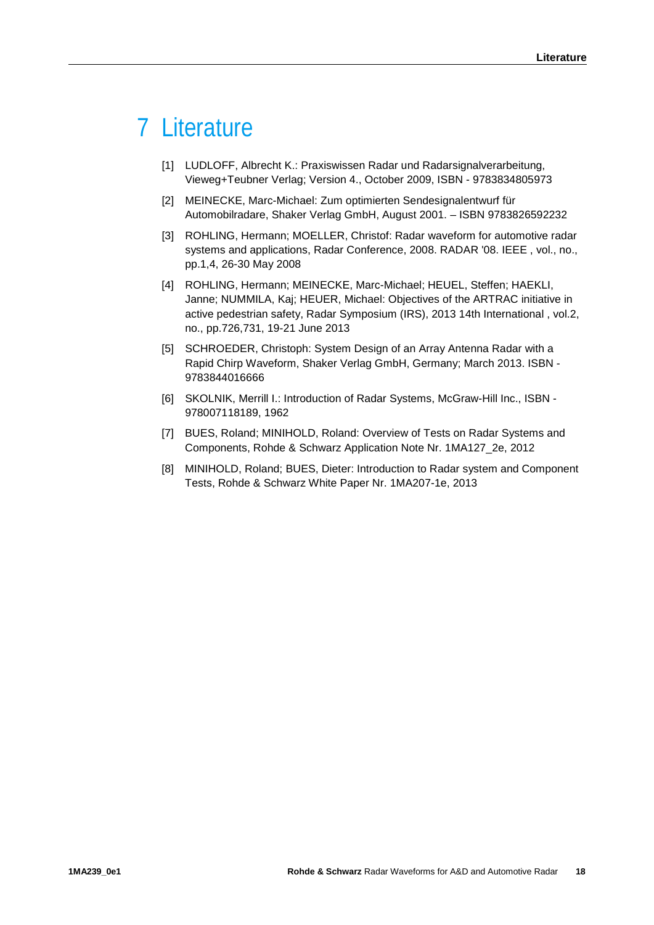## <span id="page-17-0"></span>7 Literature

- [1] LUDLOFF, Albrecht K.: Praxiswissen Radar und Radarsignalverarbeitung, Vieweg+Teubner Verlag; Version 4., October 2009, ISBN - 9783834805973
- [2] MEINECKE, Marc-Michael: Zum optimierten Sendesignalentwurf für Automobilradare, Shaker Verlag GmbH, August 2001. – ISBN 9783826592232
- [3] ROHLING, Hermann; MOELLER, Christof: Radar waveform for automotive radar systems and applications, Radar Conference, 2008. RADAR '08. IEEE , vol., no., pp.1,4, 26-30 May 2008
- [4] ROHLING, Hermann; MEINECKE, Marc-Michael; HEUEL, Steffen; HAEKLI, Janne; NUMMILA, Kaj; HEUER, Michael: Objectives of the ARTRAC initiative in active pedestrian safety, Radar Symposium (IRS), 2013 14th International , vol.2, no., pp.726,731, 19-21 June 2013
- [5] SCHROEDER, Christoph: System Design of an Array Antenna Radar with a Rapid Chirp Waveform, Shaker Verlag GmbH, Germany; March 2013. ISBN - 9783844016666
- [6] SKOLNIK, Merrill I.: Introduction of Radar Systems, McGraw-Hill Inc., ISBN 978007118189, 1962
- [7] BUES, Roland; MINIHOLD, Roland: Overview of Tests on Radar Systems and Components, Rohde & Schwarz Application Note Nr. 1MA127\_2e, 2012
- [8] MINIHOLD, Roland; BUES, Dieter: Introduction to Radar system and Component Tests, Rohde & Schwarz White Paper Nr. 1MA207-1e, 2013